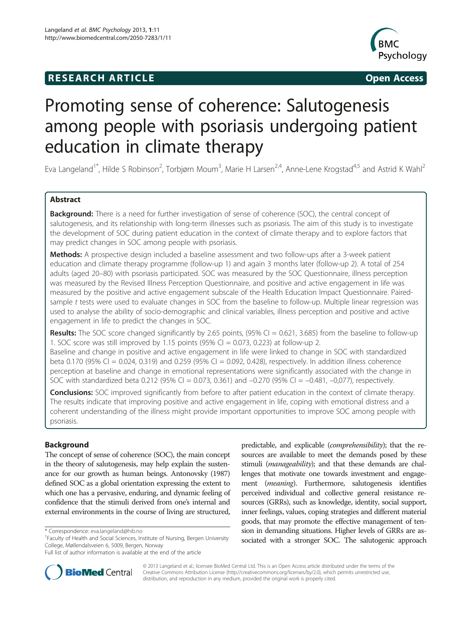## **RESEARCH ARTICLE Example 2014 CONSIDERING CONSIDERING CONSIDERING CONSIDERING CONSIDERING CONSIDERING CONSIDERING CONSIDERING CONSIDERING CONSIDERING CONSIDERING CONSIDERING CONSIDERING CONSIDERING CONSIDERING CONSIDE**



# Promoting sense of coherence: Salutogenesis among people with psoriasis undergoing patient education in climate therapy

Eva Langeland<sup>1\*</sup>, Hilde S Robinson<sup>2</sup>, Torbjørn Moum<sup>3</sup>, Marie H Larsen<sup>2,4</sup>, Anne-Lene Krogstad<sup>4,5</sup> and Astrid K Wahl<sup>2</sup>

## Abstract

Background: There is a need for further investigation of sense of coherence (SOC), the central concept of salutogenesis, and its relationship with long-term illnesses such as psoriasis. The aim of this study is to investigate the development of SOC during patient education in the context of climate therapy and to explore factors that may predict changes in SOC among people with psoriasis.

Methods: A prospective design included a baseline assessment and two follow-ups after a 3-week patient education and climate therapy programme (follow-up 1) and again 3 months later (follow-up 2). A total of 254 adults (aged 20–80) with psoriasis participated. SOC was measured by the SOC Questionnaire, illness perception was measured by the Revised Illness Perception Questionnaire, and positive and active engagement in life was measured by the positive and active engagement subscale of the Health Education Impact Questionnaire. Pairedsample t tests were used to evaluate changes in SOC from the baseline to follow-up. Multiple linear regression was used to analyse the ability of socio-demographic and clinical variables, illness perception and positive and active engagement in life to predict the changes in SOC.

**Results:** The SOC score changed significantly by 2.65 points, (95% CI = 0.621, 3.685) from the baseline to follow-up 1. SOC score was still improved by 1.15 points (95% CI = 0.073, 0.223) at follow-up 2.

Baseline and change in positive and active engagement in life were linked to change in SOC with standardized beta 0.170 (95% CI = 0.024, 0.319) and 0.259 (95% CI = 0.092, 0.428), respectively. In addition illness coherence perception at baseline and change in emotional representations were significantly associated with the change in SOC with standardized beta 0.212 (95% CI = 0.073, 0.361) and  $-0.270$  (95% CI =  $-0.481$ ,  $-0.077$ ), respectively.

Conclusions: SOC improved significantly from before to after patient education in the context of climate therapy. The results indicate that improving positive and active engagement in life, coping with emotional distress and a coherent understanding of the illness might provide important opportunities to improve SOC among people with psoriasis.

## Background

The concept of sense of coherence (SOC), the main concept in the theory of salutogenesis, may help explain the sustenance for our growth as human beings. Antonovsky [\(1987](#page-6-0)) defined SOC as a global orientation expressing the extent to which one has a pervasive, enduring, and dynamic feeling of confidence that the stimuli derived from one's internal and external environments in the course of living are structured,

predictable, and explicable (comprehensibility); that the resources are available to meet the demands posed by these stimuli (*manageability*); and that these demands are challenges that motivate one towards investment and engagement (*meaning*). Furthermore, salutogenesis identifies perceived individual and collective general resistance resources (GRRs), such as knowledge, identity, social support, inner feelings, values, coping strategies and different material goods, that may promote the effective management of tension in demanding situations. Higher levels of GRRs are associated with a stronger SOC. The salutogenic approach



© 2013 Langeland et al.; licensee BioMed Central Ltd. This is an Open Access article distributed under the terms of the Creative Commons Attribution License (<http://creativecommons.org/licenses/by/2.0>), which permits unrestricted use, distribution, and reproduction in any medium, provided the original work is properly cited.

<sup>\*</sup> Correspondence: [eva.langeland@hib.no](mailto:eva.langeland@hib.no) <sup>1</sup>

<sup>&</sup>lt;sup>1</sup> Faculty of Health and Social Sciences, Institute of Nursing, Bergen University College, Møllendalsveien 6, 5009, Bergen, Norway

Full list of author information is available at the end of the article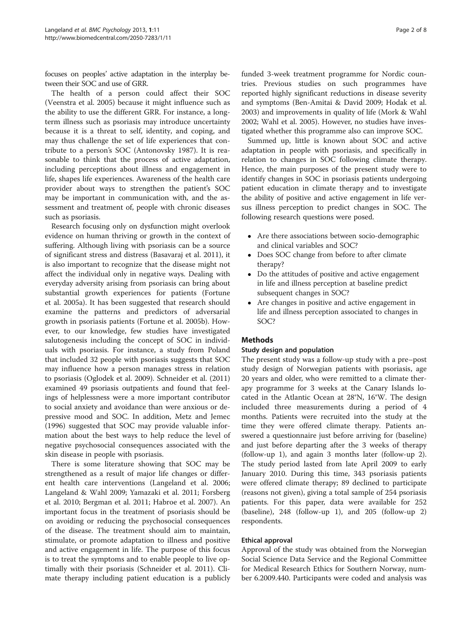focuses on peoples' active adaptation in the interplay between their SOC and use of GRR.

The health of a person could affect their SOC (Veenstra et al. [2005](#page-7-0)) because it might influence such as the ability to use the different GRR. For instance, a longterm illness such as psoriasis may introduce uncertainty because it is a threat to self, identity, and coping, and may thus challenge the set of life experiences that contribute to a person's SOC (Antonovsky [1987](#page-6-0)). It is reasonable to think that the process of active adaptation, including perceptions about illness and engagement in life, shapes life experiences. Awareness of the health care provider about ways to strengthen the patient's SOC may be important in communication with, and the assessment and treatment of, people with chronic diseases such as psoriasis.

Research focusing only on dysfunction might overlook evidence on human thriving or growth in the context of suffering. Although living with psoriasis can be a source of significant stress and distress (Basavaraj et al. [2011](#page-7-0)), it is also important to recognize that the disease might not affect the individual only in negative ways. Dealing with everyday adversity arising from psoriasis can bring about substantial growth experiences for patients (Fortune et al. [2005a](#page-7-0)). It has been suggested that research should examine the patterns and predictors of adversarial growth in psoriasis patients (Fortune et al. [2005b](#page-7-0)). However, to our knowledge, few studies have investigated salutogenesis including the concept of SOC in individuals with psoriasis. For instance, a study from Poland that included 32 people with psoriasis suggests that SOC may influence how a person manages stress in relation to psoriasis (Oglodek et al. [2009\)](#page-7-0). Schneider et al. ([2011](#page-7-0)) examined 49 psoriasis outpatients and found that feelings of helplessness were a more important contributor to social anxiety and avoidance than were anxious or depressive mood and SOC. In addition, Metz and Jemec ([1996](#page-7-0)) suggested that SOC may provide valuable information about the best ways to help reduce the level of negative psychosocial consequences associated with the skin disease in people with psoriasis.

There is some literature showing that SOC may be strengthened as a result of major life changes or different health care interventions (Langeland et al. [2006](#page-7-0); Langeland & Wahl [2009](#page-7-0); Yamazaki et al. [2011](#page-7-0); Forsberg et al. [2010;](#page-7-0) Bergman et al. [2011;](#page-7-0) Habroe et al. [2007\)](#page-7-0). An important focus in the treatment of psoriasis should be on avoiding or reducing the psychosocial consequences of the disease. The treatment should aim to maintain, stimulate, or promote adaptation to illness and positive and active engagement in life. The purpose of this focus is to treat the symptoms and to enable people to live optimally with their psoriasis (Schneider et al. [2011\)](#page-7-0). Climate therapy including patient education is a publicly funded 3-week treatment programme for Nordic countries. Previous studies on such programmes have reported highly significant reductions in disease severity and symptoms (Ben-Amitai & David [2009](#page-7-0); Hodak et al. [2003](#page-7-0)) and improvements in quality of life (Mork & Wahl [2002](#page-7-0); Wahl et al. [2005\)](#page-7-0). However, no studies have investigated whether this programme also can improve SOC.

Summed up, little is known about SOC and active adaptation in people with psoriasis, and specifically in relation to changes in SOC following climate therapy. Hence, the main purposes of the present study were to identify changes in SOC in psoriasis patients undergoing patient education in climate therapy and to investigate the ability of positive and active engagement in life versus illness perception to predict changes in SOC. The following research questions were posed.

- Are there associations between socio-demographic and clinical variables and SOC?
- Does SOC change from before to after climate therapy?
- Do the attitudes of positive and active engagement in life and illness perception at baseline predict subsequent changes in SOC?
- Are changes in positive and active engagement in life and illness perception associated to changes in SOC?

## **Methods**

## Study design and population

The present study was a follow-up study with a pre–post study design of Norwegian patients with psoriasis, age 20 years and older, who were remitted to a climate therapy programme for 3 weeks at the Canary Islands located in the Atlantic Ocean at 28°N, 16°W. The design included three measurements during a period of 4 months. Patients were recruited into the study at the time they were offered climate therapy. Patients answered a questionnaire just before arriving for (baseline) and just before departing after the 3 weeks of therapy (follow-up 1), and again 3 months later (follow-up 2). The study period lasted from late April 2009 to early January 2010. During this time, 343 psoriasis patients were offered climate therapy; 89 declined to participate (reasons not given), giving a total sample of 254 psoriasis patients. For this paper, data were available for 252 (baseline), 248 (follow-up 1), and 205 (follow-up 2) respondents.

## Ethical approval

Approval of the study was obtained from the Norwegian Social Science Data Service and the Regional Committee for Medical Research Ethics for Southern Norway, number 6.2009.440. Participants were coded and analysis was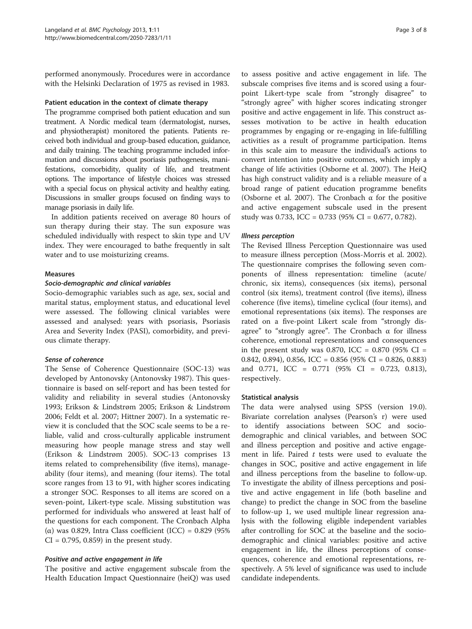performed anonymously. Procedures were in accordance with the Helsinki Declaration of 1975 as revised in 1983.

## Patient education in the context of climate therapy

The programme comprised both patient education and sun treatment. A Nordic medical team (dermatologist, nurses, and physiotherapist) monitored the patients. Patients received both individual and group-based education, guidance, and daily training. The teaching programme included information and discussions about psoriasis pathogenesis, manifestations, comorbidity, quality of life, and treatment options. The importance of lifestyle choices was stressed with a special focus on physical activity and healthy eating. Discussions in smaller groups focused on finding ways to manage psoriasis in daily life.

In addition patients received on average 80 hours of sun therapy during their stay. The sun exposure was scheduled individually with respect to skin type and UV index. They were encouraged to bathe frequently in salt water and to use moisturizing creams.

#### Measures

#### Socio-demographic and clinical variables

Socio-demographic variables such as age, sex, social and marital status, employment status, and educational level were assessed. The following clinical variables were assessed and analysed: years with psoriasis, Psoriasis Area and Severity Index (PASI), comorbidity, and previous climate therapy.

### Sense of coherence

The Sense of Coherence Questionnaire (SOC-13) was developed by Antonovsky (Antonovsky [1987](#page-6-0)). This questionnaire is based on self-report and has been tested for validity and reliability in several studies (Antonovsky [1993](#page-6-0); Erikson & Lindstrøm [2005](#page-7-0); Erikson & Lindstrøm [2006](#page-7-0); Feldt et al. [2007;](#page-7-0) Hittner [2007\)](#page-7-0). In a systematic review it is concluded that the SOC scale seems to be a reliable, valid and cross-culturally applicable instrument measuring how people manage stress and stay well (Erikson & Lindstrøm [2005\)](#page-7-0). SOC-13 comprises 13 items related to comprehensibility (five items), manageability (four items), and meaning (four items). The total score ranges from 13 to 91, with higher scores indicating a stronger SOC. Responses to all items are scored on a seven-point, Likert-type scale. Missing substitution was performed for individuals who answered at least half of the questions for each component. The Cronbach Alpha (α) was 0.829, Intra Class coefficient (ICC) = 0.829 (95%  $CI = 0.795, 0.859$  in the present study.

#### Positive and active engagement in life

The positive and active engagement subscale from the Health Education Impact Questionnaire (heiQ) was used

to assess positive and active engagement in life. The subscale comprises five items and is scored using a fourpoint Likert-type scale from "strongly disagree" to "strongly agree" with higher scores indicating stronger positive and active engagement in life. This construct assesses motivation to be active in health education programmes by engaging or re-engaging in life-fulfilling activities as a result of programme participation. Items in this scale aim to measure the individual's actions to convert intention into positive outcomes, which imply a change of life activities (Osborne et al. [2007](#page-7-0)). The HeiQ has high construct validity and is a reliable measure of a broad range of patient education programme benefits (Osborne et al. [2007\)](#page-7-0). The Cronbach  $\alpha$  for the positive and active engagement subscale used in the present study was 0.733, ICC = 0.733 (95% CI = 0.677, 0.782).

#### Illness perception

The Revised Illness Perception Questionnaire was used to measure illness perception (Moss-Morris et al. [2002](#page-7-0)). The questionnaire comprises the following seven components of illness representation: timeline (acute/ chronic, six items), consequences (six items), personal control (six items), treatment control (five items), illness coherence (five items), timeline cyclical (four items), and emotional representations (six items). The responses are rated on a five-point Likert scale from "strongly disagree" to "strongly agree". The Cronbach α for illness coherence, emotional representations and consequences in the present study was 0.870, ICC =  $0.870$  (95% CI = 0.842, 0.894), 0.856, ICC = 0.856 (95% CI = 0.826, 0.883) and 0.771, ICC = 0.771 (95% CI = 0.723, 0.813), respectively.

#### Statistical analysis

The data were analysed using SPSS (version 19.0). Bivariate correlation analyses (Pearson's r) were used to identify associations between SOC and sociodemographic and clinical variables, and between SOC and illness perception and positive and active engagement in life. Paired  $t$  tests were used to evaluate the changes in SOC, positive and active engagement in life and illness perceptions from the baseline to follow-up. To investigate the ability of illness perceptions and positive and active engagement in life (both baseline and change) to predict the change in SOC from the baseline to follow-up 1, we used multiple linear regression analysis with the following eligible independent variables after controlling for SOC at the baseline and the sociodemographic and clinical variables: positive and active engagement in life, the illness perceptions of consequences, coherence and emotional representations, respectively. A 5% level of significance was used to include candidate independents.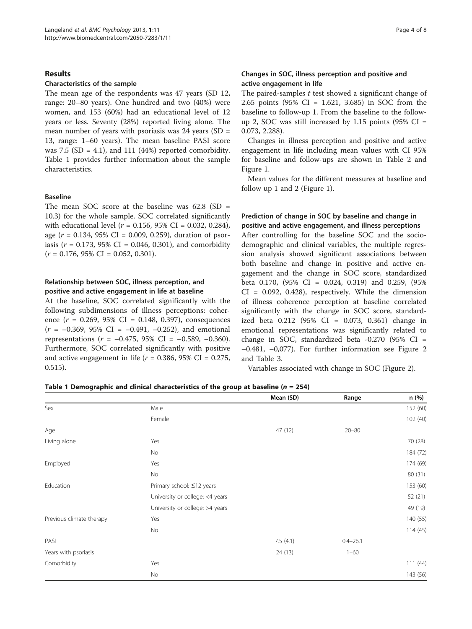## Results

### Characteristics of the sample

The mean age of the respondents was 47 years (SD 12, range: 20–80 years). One hundred and two (40%) were women, and 153 (60%) had an educational level of 12 years or less. Seventy (28%) reported living alone. The mean number of years with psoriasis was  $24$  years (SD = 13, range: 1–60 years). The mean baseline PASI score was 7.5 (SD = 4.1), and 111 (44%) reported comorbidity. Table 1 provides further information about the sample characteristics.

## Baseline

The mean SOC score at the baseline was  $62.8$  (SD = 10.3) for the whole sample. SOC correlated significantly with educational level ( $r = 0.156$ , 95% CI = 0.032, 0.284), age ( $r = 0.134$ , 95% CI = 0.009, 0.259), duration of psoriasis ( $r = 0.173$ , 95% CI = 0.046, 0.301), and comorbidity  $(r = 0.176, 95\% \text{ CI} = 0.052, 0.301).$ 

## Relationship between SOC, illness perception, and positive and active engagement in life at baseline

At the baseline, SOC correlated significantly with the following subdimensions of illness perceptions: coherence  $(r = 0.269, 95\% \text{ CI} = 0.148, 0.397)$ , consequences  $(r = -0.369, 95\% \text{ CI} = -0.491, -0.252)$ , and emotional representations ( $r = -0.475$ , 95% CI =  $-0.589$ ,  $-0.360$ ). Furthermore, SOC correlated significantly with positive and active engagement in life ( $r = 0.386$ , 95% CI = 0.275, 0.515).

## Changes in SOC, illness perception and positive and active engagement in life

The paired-samples  $t$  test showed a significant change of 2.65 points (95% CI = 1.621, 3.685) in SOC from the baseline to follow-up 1. From the baseline to the followup 2, SOC was still increased by  $1.15$  points (95% CI = 0.073, 2.288).

Changes in illness perception and positive and active engagement in life including mean values with CI 95% for baseline and follow-ups are shown in Table [2](#page-4-0) and Figure [1](#page-4-0).

Mean values for the different measures at baseline and follow up 1 and 2 (Figure [1\)](#page-4-0).

## Prediction of change in SOC by baseline and change in positive and active engagement, and illness perceptions

After controlling for the baseline SOC and the sociodemographic and clinical variables, the multiple regression analysis showed significant associations between both baseline and change in positive and active engagement and the change in SOC score, standardized beta 0.170,  $(95\% \text{ CI} = 0.024, 0.319)$  and 0.259,  $(95\%$  $CI = 0.092, 0.428$ , respectively. While the dimension of illness coherence perception at baseline correlated significantly with the change in SOC score, standardized beta 0.212 (95% CI = 0.073, 0.361) change in emotional representations was significantly related to change in SOC, standardized beta  $-0.270$  (95% CI =  $-0.481$ ,  $-0.077$ ). For further information see Figure [2](#page-5-0) and Table [3.](#page-5-0)

Variables associated with change in SOC (Figure [2](#page-5-0)).

|  |  | Table 1 Demographic and clinical characteristics of the group at baseline ( $n = 254$ ) |  |  |  |
|--|--|-----------------------------------------------------------------------------------------|--|--|--|
|--|--|-----------------------------------------------------------------------------------------|--|--|--|

|                          |                                 | Mean (SD) | Range        | n (%)    |
|--------------------------|---------------------------------|-----------|--------------|----------|
| Sex                      | Male                            |           |              | 152 (60) |
|                          | Female                          |           |              | 102 (40) |
| Age                      |                                 | 47 (12)   | $20 - 80$    |          |
| Living alone             | Yes                             |           |              | 70 (28)  |
|                          | No                              |           |              | 184 (72) |
| Employed                 | Yes                             |           |              | 174 (69) |
|                          | No                              |           |              | 80 (31)  |
| Education                | Primary school: ≤12 years       |           |              | 153 (60) |
|                          | University or college: <4 years |           |              | 52 (21)  |
|                          | University or college: >4 years |           |              | 49 (19)  |
| Previous climate therapy | Yes                             |           |              | 140 (55) |
|                          | No                              |           |              | 114(45)  |
| PASI                     |                                 | 7.5(4.1)  | $0.4 - 26.1$ |          |
| Years with psoriasis     |                                 | 24 (13)   | $1 - 60$     |          |
| Comorbidity              | Yes                             |           |              | 111(44)  |
|                          | No                              |           |              | 143 (56) |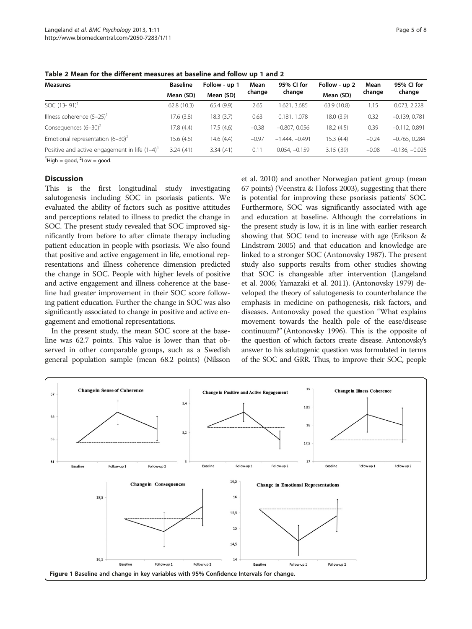<span id="page-4-0"></span>Table 2 Mean for the different measures at baseline and follow up 1 and 2

| <b>Measures</b>                                | <b>Baseline</b> | Follow - up 1 | Mean<br>change | 95% CI for       | Follow - up 2 | Mean    | 95% CI for       |
|------------------------------------------------|-----------------|---------------|----------------|------------------|---------------|---------|------------------|
|                                                | Mean (SD)       | Mean (SD)     |                | change           | Mean (SD)     | change  | change           |
| SOC $(13 - 91)^T$                              | 62.8(10.3)      | 65.4(9.9)     | 2.65           | 1.621, 3.685     | 63.9 (10.8)   | 1.15    | 0.073, 2.228     |
| Illness coherence $(5-25)^T$                   | 17.6(3.8)       | 18.3(3.7)     | 0.63           | 0.181, 1.078     | 18.0(3.9)     | 0.32    | $-0.139.0.781$   |
| Consequences $(6-30)^2$                        | 17.8(4.4)       | 17.5(4.6)     | $-0.38$        | $-0.807, 0.056$  | 18.2(4.5)     | 0.39    | $-0.112, 0.891$  |
| Emotional representation $(6-30)^2$            | 15.6(4.6)       | 14.6(4.4)     | $-0.97$        | $-1.444. -0.491$ | 15.3(4.4)     | $-0.24$ | $-0.765.0.284$   |
| Positive and active engagement in life $(1-4)$ | 3.24(.41)       | 3.34(.41)     | 0.11           | $0.054, -0.159$  | 3.15(.39)     | $-0.08$ | $-0.136, -0.025$ |

 ${}^{1}$ High = good,  ${}^{2}$ Low = good.

#### **Discussion**

This is the first longitudinal study investigating salutogenesis including SOC in psoriasis patients. We evaluated the ability of factors such as positive attitudes and perceptions related to illness to predict the change in SOC. The present study revealed that SOC improved significantly from before to after climate therapy including patient education in people with psoriasis. We also found that positive and active engagement in life, emotional representations and illness coherence dimension predicted the change in SOC. People with higher levels of positive and active engagement and illness coherence at the baseline had greater improvement in their SOC score following patient education. Further the change in SOC was also significantly associated to change in positive and active engagement and emotional representations.

In the present study, the mean SOC score at the baseline was 62.7 points. This value is lower than that observed in other comparable groups, such as a Swedish general population sample (mean 68.2 points) (Nilsson et al. [2010\)](#page-7-0) and another Norwegian patient group (mean 67 points) (Veenstra & Hofoss [2003\)](#page-7-0), suggesting that there is potential for improving these psoriasis patients' SOC. Furthermore, SOC was significantly associated with age and education at baseline. Although the correlations in the present study is low, it is in line with earlier research showing that SOC tend to increase with age (Erikson & Lindstrøm [2005](#page-7-0)) and that education and knowledge are linked to a stronger SOC (Antonovsky [1987](#page-6-0)). The present study also supports results from other studies showing that SOC is changeable after intervention (Langeland et al. [2006](#page-7-0); Yamazaki et al. [2011\)](#page-7-0). (Antonovsky [1979\)](#page-6-0) developed the theory of salutogenesis to counterbalance the emphasis in medicine on pathogenesis, risk factors, and diseases. Antonovsky posed the question "What explains movement towards the health pole of the ease/disease continuum?" (Antonovsky [1996\)](#page-6-0). This is the opposite of the question of which factors create disease. Antonovsky's answer to his salutogenic question was formulated in terms of the SOC and GRR. Thus, to improve their SOC, people

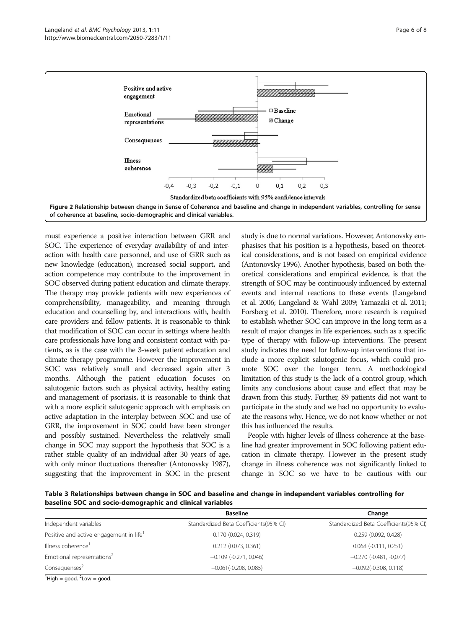<span id="page-5-0"></span>

must experience a positive interaction between GRR and SOC. The experience of everyday availability of and interaction with health care personnel, and use of GRR such as new knowledge (education), increased social support, and action competence may contribute to the improvement in SOC observed during patient education and climate therapy. The therapy may provide patients with new experiences of comprehensibility, manageability, and meaning through education and counselling by, and interactions with, health care providers and fellow patients. It is reasonable to think that modification of SOC can occur in settings where health care professionals have long and consistent contact with patients, as is the case with the 3-week patient education and climate therapy programme. However the improvement in SOC was relatively small and decreased again after 3 months. Although the patient education focuses on salutogenic factors such as physical activity, healthy eating and management of psoriasis, it is reasonable to think that with a more explicit salutogenic approach with emphasis on active adaptation in the interplay between SOC and use of GRR, the improvement in SOC could have been stronger and possibly sustained. Nevertheless the relatively small change in SOC may support the hypothesis that SOC is a rather stable quality of an individual after 30 years of age, with only minor fluctuations thereafter (Antonovsky [1987\)](#page-6-0), suggesting that the improvement in SOC in the present

study is due to normal variations. However, Antonovsky emphasises that his position is a hypothesis, based on theoretical considerations, and is not based on empirical evidence (Antonovsky [1996\)](#page-6-0). Another hypothesis, based on both theoretical considerations and empirical evidence, is that the strength of SOC may be continuously influenced by external events and internal reactions to these events (Langeland et al. [2006](#page-7-0); Langeland & Wahl [2009](#page-7-0); Yamazaki et al. [2011](#page-7-0); Forsberg et al. [2010\)](#page-7-0). Therefore, more research is required to establish whether SOC can improve in the long term as a result of major changes in life experiences, such as a specific type of therapy with follow-up interventions. The present study indicates the need for follow-up interventions that include a more explicit salutogenic focus, which could promote SOC over the longer term. A methodological limitation of this study is the lack of a control group, which limits any conclusions about cause and effect that may be drawn from this study. Further, 89 patients did not want to participate in the study and we had no opportunity to evaluate the reasons why. Hence, we do not know whether or not this has influenced the results.

People with higher levels of illness coherence at the baseline had greater improvement in SOC following patient education in climate therapy. However in the present study change in illness coherence was not significantly linked to change in SOC so we have to be cautious with our

Table 3 Relationships between change in SOC and baseline and change in independent variables controlling for baseline SOC and socio-demographic and clinical variables

|                                                     | <b>Baseline</b>                        | Change                                 |
|-----------------------------------------------------|----------------------------------------|----------------------------------------|
| Independent variables                               | Standardized Beta Coefficients(95% CI) | Standardized Beta Coefficients(95% CI) |
| Positive and active engagement in life <sup>1</sup> | 0.170(0.024, 0.319)                    | 0.259(0.092, 0.428)                    |
| Illness coherence <sup>1</sup>                      | $0.212$ (0.073, 0.361)                 | $0.068$ ( $-0.111$ , $0.251$ )         |
| Emotional representations <sup>2</sup>              | $-0.109$ ( $-0.271$ , $0.046$ )        | $-0.270$ $(-0.481, -0.077)$            |
| Consequenses <sup>2</sup>                           | $-0.061(-0.208, 0.085)$                | $-0.092(-0.308, 0.118)$                |
| $1.0.1 \t 1.2.1 \t 1.2.1$                           |                                        |                                        |

 ${}^{1}$ High = good.  ${}^{2}$ Low = good.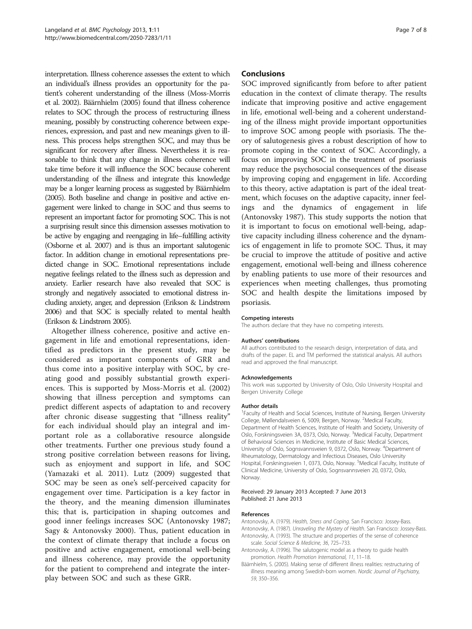<span id="page-6-0"></span>interpretation. Illness coherence assesses the extent to which an individual's illness provides an opportunity for the patient's coherent understanding of the illness (Moss-Morris et al. [2002](#page-7-0)). Bäärnhielm (2005) found that illness coherence relates to SOC through the process of restructuring illness meaning, possibly by constructing coherence between experiences, expression, and past and new meanings given to illness. This process helps strengthen SOC, and may thus be significant for recovery after illness. Nevertheless it is reasonable to think that any change in illness coherence will take time before it will influence the SOC because coherent understanding of the illness and integrate this knowledge may be a longer learning process as suggested by Bäärnhielm (2005). Both baseline and change in positive and active engagement were linked to change in SOC and thus seems to represent an important factor for promoting SOC. This is not a surprising result since this dimension assesses motivation to be active by engaging and reengaging in life–fulfilling activity (Osborne et al. [2007\)](#page-7-0) and is thus an important salutogenic factor. In addition change in emotional representations predicted change in SOC. Emotional representations include negative feelings related to the illness such as depression and anxiety. Earlier research have also revealed that SOC is strongly and negatively associated to emotional distress including anxiety, anger, and depression (Erikson & Lindstrøm [2006\)](#page-7-0) and that SOC is specially related to mental health (Erikson & Lindstrøm [2005\)](#page-7-0).

Altogether illness coherence, positive and active engagement in life and emotional representations, identified as predictors in the present study, may be considered as important components of GRR and thus come into a positive interplay with SOC, by creating good and possibly substantial growth experiences. This is supported by Moss-Morris et al. [\(2002](#page-7-0)) showing that illness perception and symptoms can predict different aspects of adaptation to and recovery after chronic disease suggesting that "illness reality" for each individual should play an integral and important role as a collaborative resource alongside other treatments. Further one previous study found a strong positive correlation between reasons for living, such as enjoyment and support in life, and SOC (Yamazaki et al. [2011\)](#page-7-0). Lutz [\(2009](#page-7-0)) suggested that SOC may be seen as one's self-perceived capacity for engagement over time. Participation is a key factor in the theory, and the meaning dimension illuminates this; that is, participation in shaping outcomes and good inner feelings increases SOC (Antonovsky 1987; Sagy & Antonovsky [2000\)](#page-7-0). Thus, patient education in the context of climate therapy that include a focus on positive and active engagement, emotional well-being and illness coherence, may provide the opportunity for the patient to comprehend and integrate the interplay between SOC and such as these GRR.

## Conclusions

SOC improved significantly from before to after patient education in the context of climate therapy. The results indicate that improving positive and active engagement in life, emotional well-being and a coherent understanding of the illness might provide important opportunities to improve SOC among people with psoriasis. The theory of salutogenesis gives a robust description of how to promote coping in the context of SOC. Accordingly, a focus on improving SOC in the treatment of psoriasis may reduce the psychosocial consequences of the disease by improving coping and engagement in life. According to this theory, active adaptation is part of the ideal treatment, which focuses on the adaptive capacity, inner feelings and the dynamics of engagement in life (Antonovsky 1987). This study supports the notion that it is important to focus on emotional well-being, adaptive capacity including illness coherence and the dynamics of engagement in life to promote SOC. Thus, it may be crucial to improve the attitude of positive and active engagement, emotional well-being and illness coherence by enabling patients to use more of their resources and experiences when meeting challenges, thus promoting SOC and health despite the limitations imposed by psoriasis.

#### Competing interests

The authors declare that they have no competing interests.

#### Authors' contributions

All authors contributed to the research design, interpretation of data, and drafts of the paper. EL and TM performed the statistical analysis. All authors read and approved the final manuscript.

#### Acknowledgements

This work was supported by University of Oslo, Oslo University Hospital and Bergen University College

#### Author details

<sup>1</sup> Faculty of Health and Social Sciences, Institute of Nursing, Bergen University College, Møllendalsveien 6, 5009, Bergen, Norway. <sup>2</sup>Medical Faculty Department of Health Sciences, Institute of Health and Society, University of Oslo, Forskningsveien 3A, 0373, Oslo, Norway. <sup>3</sup>Medical Faculty, Department of Behavioral Sciences in Medicine, Institute of Basic Medical Sciences, University of Oslo, Sognsvannsveien 9, 0372, Oslo, Norway. <sup>4</sup>Department of Rheumatology, Dermatology and Infectious Diseases, Oslo University Hospital, Forskningsveien 1, 0373, Oslo, Norway. <sup>5</sup>Medical Faculty, Institute of Clinical Medicine, University of Oslo, Sognsvannsveien 20, 0372, Oslo, Norway.

#### Received: 29 January 2013 Accepted: 7 June 2013 Published: 21 June 2013

#### References

Antonovsky, A. (1979). Health, Stress and Coping. San Francisco: Jossey-Bass. Antonovsky, A. (1987). Unraveling the Mystery of Health. San Francisco: Jossey-Bass. Antonovsky, A. (1993). The structure and properties of the sense of coherence scale. Social Science & Medicine, 36, 725–733.

- Antonovsky, A. (1996). The salutogenic model as a theory to guide health promotion. Health Promotion International, 11, 11–18.
- Bäärnhielm, S. (2005). Making sense of different illness realities: restructuring of illness meaning among Swedish-born women. Nordic Journal of Psychiatry, 59, 350–356.